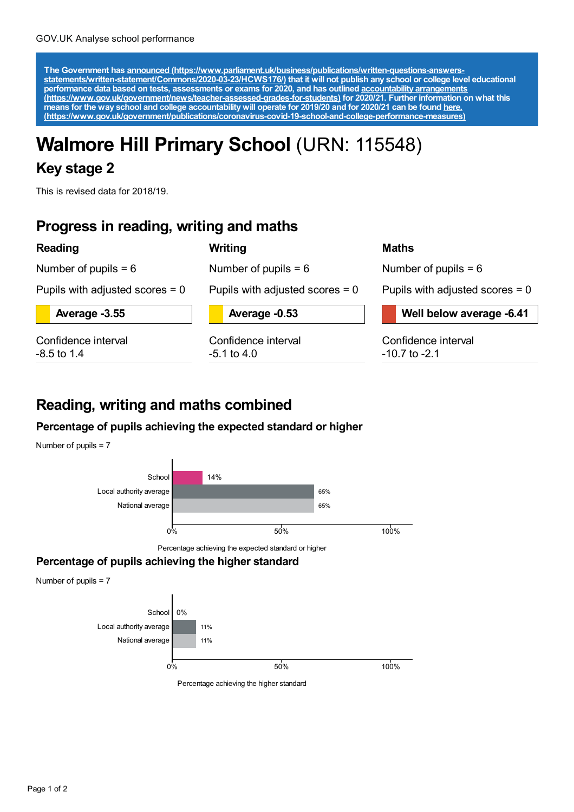The Government has announced [\(https://www.parliament.uk/business/publications/written-questions-answers-](https://www.parliament.uk/business/publications/written-questions-answers-statements/written-statement/Commons/2020-03-23/HCWS176/)<br>statements/written-statement/Commons/2020-03-23/HCWS176/) that it will not publish any school or college level educat **performance data based on tests, assessments or exams for 2020, and has outlined accountability arrangements [\(https://www.gov.uk/government/news/teacher-assessed-grades-for-students\)](https://www.gov.uk/government/news/teacher-assessed-grades-for-students) for 2020/21. Further information on what this** means for the way school and college accountability will operate for 2019/20 and for 2020/21 can be found <u>here.</u> **[\(https://www.gov.uk/government/publications/coronavirus-covid-19-school-and-college-performance-measures\)](https://www.gov.uk/government/publications/coronavirus-covid-19-school-and-college-performance-measures)**

# **Walmore Hill Primary School** (URN: 115548)

**Writing**

### **Key stage 2**

This is revised data for 2018/19.

### **Progress in reading, writing and maths**

#### **Reading**

Number of pupils  $= 6$ 

Number of pupils  $= 6$ 

Pupils with adjusted scores = 0

**Average -3.55**

Confidence interval -8.5 to 1.4

**Average -0.53**

Pupils with adjusted scores = 0

Confidence interval -5.1 to 4.0

#### **Maths**

Number of pupils  $= 6$ 

Pupils with adjusted scores  $= 0$ 

**Well below average -6.41**

Confidence interval -10.7 to -2.1

## **Reading, writing and maths combined**

### **Percentage of pupils achieving the expected standard or higher**



#### **Percentage of pupils achieving the higher standard**

Number of pupils = 7